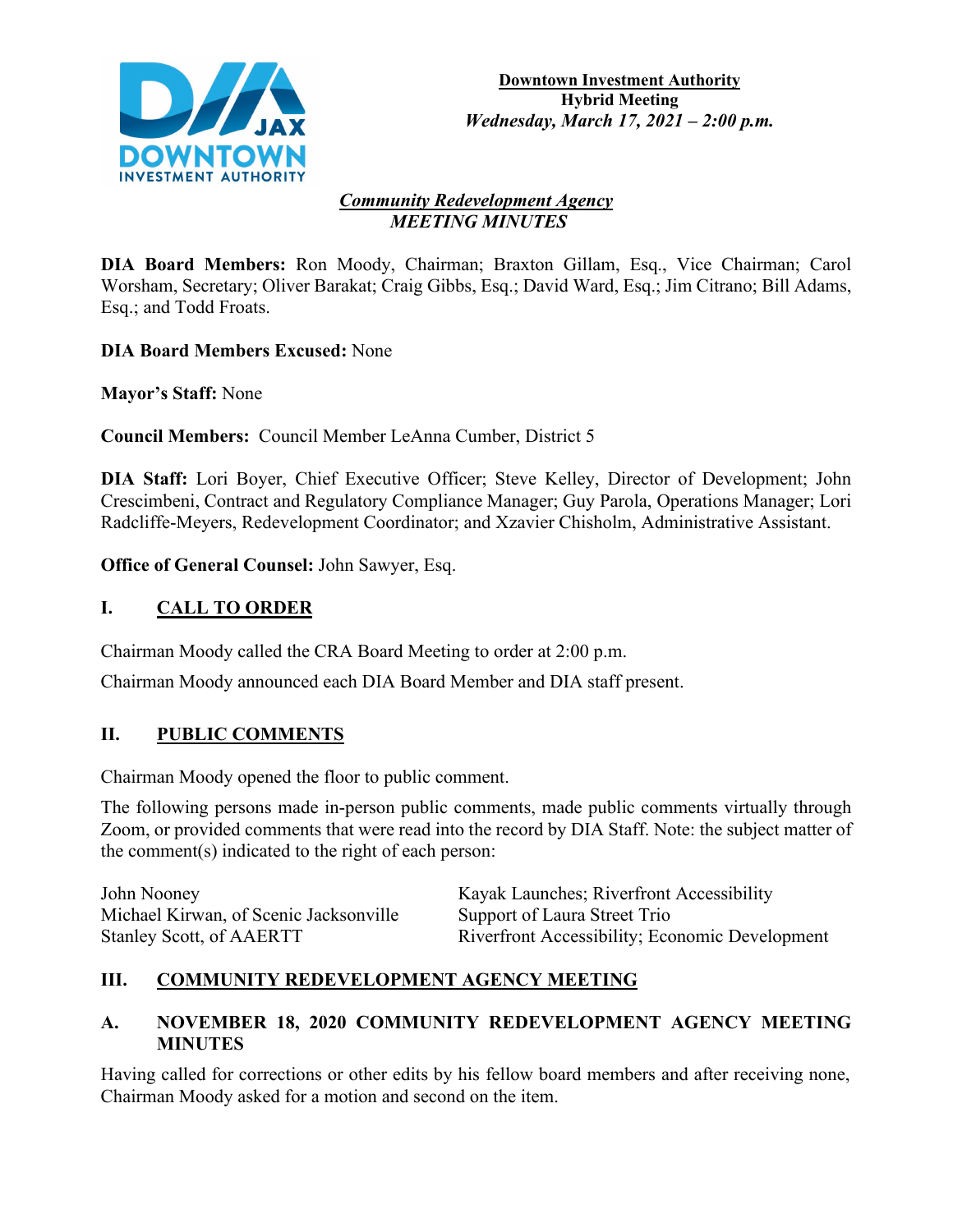

#### *Community Redevelopment Agency MEETING MINUTES*

**DIA Board Members:** Ron Moody, Chairman; Braxton Gillam, Esq., Vice Chairman; Carol Worsham, Secretary; Oliver Barakat; Craig Gibbs, Esq.; David Ward, Esq.; Jim Citrano; Bill Adams, Esq.; and Todd Froats.

**DIA Board Members Excused:** None

**Mayor's Staff:** None

**Council Members:** Council Member LeAnna Cumber, District 5

**DIA Staff:** Lori Boyer, Chief Executive Officer; Steve Kelley, Director of Development; John Crescimbeni, Contract and Regulatory Compliance Manager; Guy Parola, Operations Manager; Lori Radcliffe-Meyers, Redevelopment Coordinator; and Xzavier Chisholm, Administrative Assistant.

**Office of General Counsel:** John Sawyer, Esq.

# **I. CALL TO ORDER**

Chairman Moody called the CRA Board Meeting to order at 2:00 p.m.

Chairman Moody announced each DIA Board Member and DIA staff present.

# **II. PUBLIC COMMENTS**

Chairman Moody opened the floor to public comment.

The following persons made in-person public comments, made public comments virtually through Zoom, or provided comments that were read into the record by DIA Staff. Note: the subject matter of the comment(s) indicated to the right of each person:

| John Nooney                            | Kayak Launches; Riverfront Accessibility              |
|----------------------------------------|-------------------------------------------------------|
| Michael Kirwan, of Scenic Jacksonville | Support of Laura Street Trio                          |
| <b>Stanley Scott, of AAERTT</b>        | <b>Riverfront Accessibility; Economic Development</b> |

# **III. COMMUNITY REDEVELOPMENT AGENCY MEETING**

# **A. NOVEMBER 18, 2020 COMMUNITY REDEVELOPMENT AGENCY MEETING MINUTES**

Having called for corrections or other edits by his fellow board members and after receiving none, Chairman Moody asked for a motion and second on the item.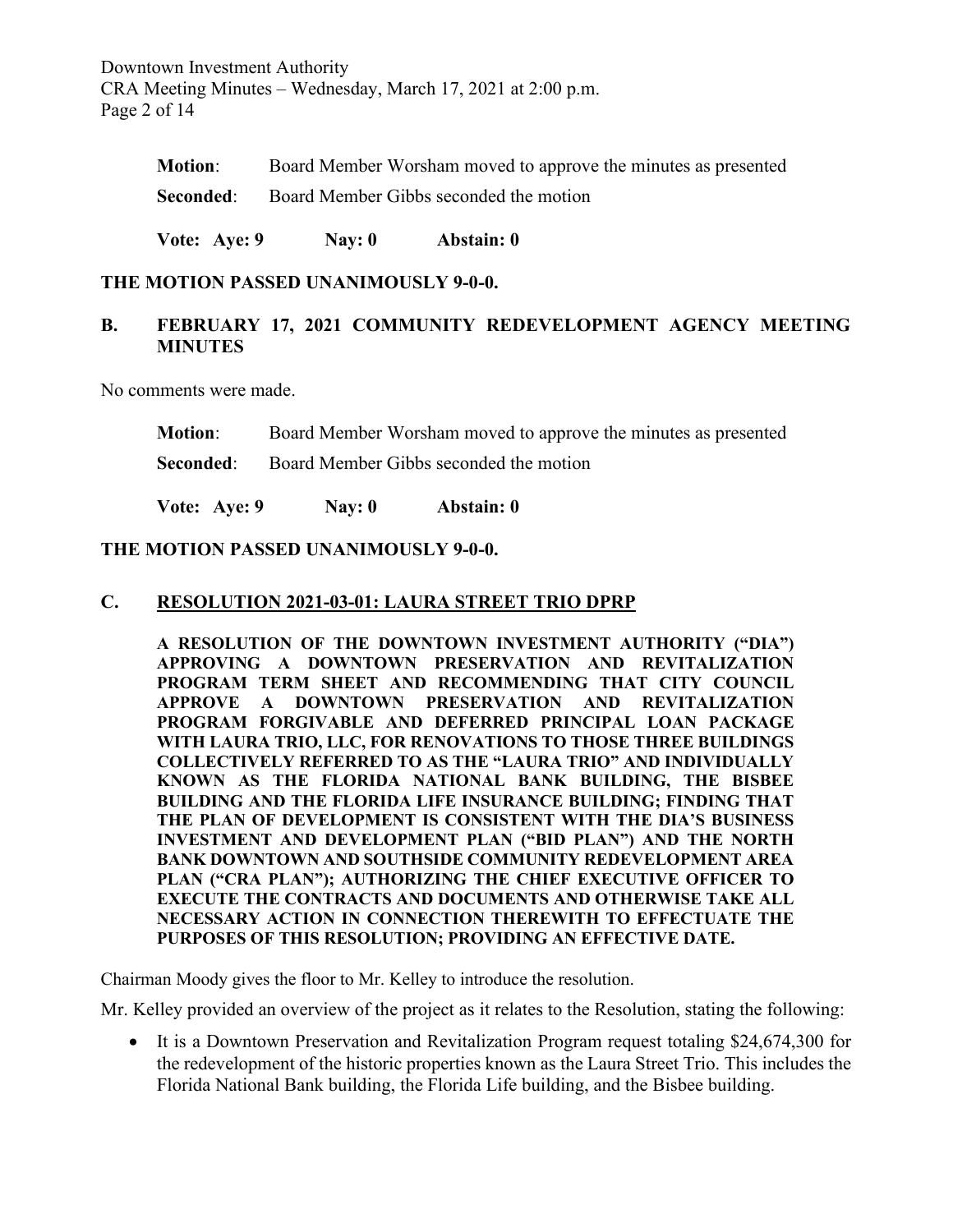Downtown Investment Authority CRA Meeting Minutes – Wednesday, March 17, 2021 at 2:00 p.m. Page 2 of 14

| <b>Motion:</b> | Board Member Worsham moved to approve the minutes as presented |
|----------------|----------------------------------------------------------------|
|                | <b>Seconded:</b> Board Member Gibbs seconded the motion        |

**Vote: Aye: 9 Nay: 0 Abstain: 0**

**THE MOTION PASSED UNANIMOUSLY 9-0-0.**

## **B. FEBRUARY 17, 2021 COMMUNITY REDEVELOPMENT AGENCY MEETING MINUTES**

No comments were made.

**Motion**: Board Member Worsham moved to approve the minutes as presented

**Seconded:** Board Member Gibbs seconded the motion

**Vote: Aye: 9 Nay: 0 Abstain: 0**

#### **THE MOTION PASSED UNANIMOUSLY 9-0-0.**

#### **C. RESOLUTION 2021-03-01: LAURA STREET TRIO DPRP**

**A RESOLUTION OF THE DOWNTOWN INVESTMENT AUTHORITY ("DIA") APPROVING A DOWNTOWN PRESERVATION AND REVITALIZATION PROGRAM TERM SHEET AND RECOMMENDING THAT CITY COUNCIL APPROVE A DOWNTOWN PRESERVATION AND REVITALIZATION PROGRAM FORGIVABLE AND DEFERRED PRINCIPAL LOAN PACKAGE WITH LAURA TRIO, LLC, FOR RENOVATIONS TO THOSE THREE BUILDINGS COLLECTIVELY REFERRED TO AS THE "LAURA TRIO" AND INDIVIDUALLY KNOWN AS THE FLORIDA NATIONAL BANK BUILDING, THE BISBEE BUILDING AND THE FLORIDA LIFE INSURANCE BUILDING; FINDING THAT THE PLAN OF DEVELOPMENT IS CONSISTENT WITH THE DIA'S BUSINESS INVESTMENT AND DEVELOPMENT PLAN ("BID PLAN") AND THE NORTH BANK DOWNTOWN AND SOUTHSIDE COMMUNITY REDEVELOPMENT AREA PLAN ("CRA PLAN"); AUTHORIZING THE CHIEF EXECUTIVE OFFICER TO EXECUTE THE CONTRACTS AND DOCUMENTS AND OTHERWISE TAKE ALL NECESSARY ACTION IN CONNECTION THEREWITH TO EFFECTUATE THE PURPOSES OF THIS RESOLUTION; PROVIDING AN EFFECTIVE DATE.**

Chairman Moody gives the floor to Mr. Kelley to introduce the resolution.

Mr. Kelley provided an overview of the project as it relates to the Resolution, stating the following:

• It is a Downtown Preservation and Revitalization Program request totaling \$24,674,300 for the redevelopment of the historic properties known as the Laura Street Trio. This includes the Florida National Bank building, the Florida Life building, and the Bisbee building.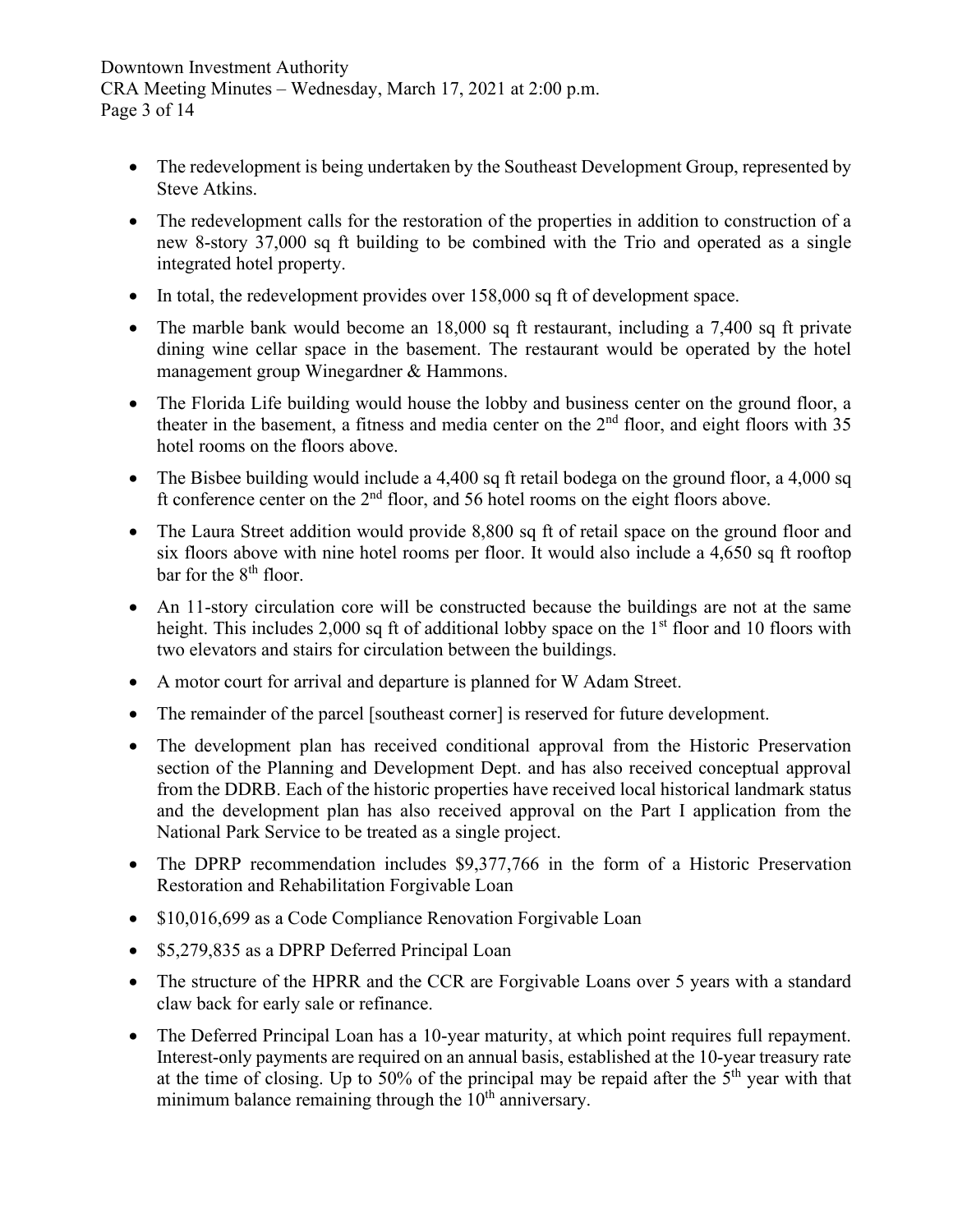### Downtown Investment Authority CRA Meeting Minutes – Wednesday, March 17, 2021 at 2:00 p.m. Page 3 of 14

- The redevelopment is being undertaken by the Southeast Development Group, represented by Steve Atkins.
- The redevelopment calls for the restoration of the properties in addition to construction of a new 8-story 37,000 sq ft building to be combined with the Trio and operated as a single integrated hotel property.
- In total, the redevelopment provides over 158,000 sq ft of development space.
- The marble bank would become an 18,000 sq ft restaurant, including a 7,400 sq ft private dining wine cellar space in the basement. The restaurant would be operated by the hotel management group Winegardner & Hammons.
- The Florida Life building would house the lobby and business center on the ground floor, a theater in the basement, a fitness and media center on the  $2<sup>nd</sup>$  floor, and eight floors with 35 hotel rooms on the floors above.
- The Bisbee building would include a 4,400 sq ft retail bodega on the ground floor, a 4,000 sq ft conference center on the  $2<sup>nd</sup>$  floor, and 56 hotel rooms on the eight floors above.
- The Laura Street addition would provide 8,800 sq ft of retail space on the ground floor and six floors above with nine hotel rooms per floor. It would also include a 4,650 sq ft rooftop bar for the 8<sup>th</sup> floor.
- An 11-story circulation core will be constructed because the buildings are not at the same height. This includes 2,000 sq ft of additional lobby space on the  $1<sup>st</sup>$  floor and 10 floors with two elevators and stairs for circulation between the buildings.
- A motor court for arrival and departure is planned for W Adam Street.
- The remainder of the parcel [southeast corner] is reserved for future development.
- The development plan has received conditional approval from the Historic Preservation section of the Planning and Development Dept. and has also received conceptual approval from the DDRB. Each of the historic properties have received local historical landmark status and the development plan has also received approval on the Part I application from the National Park Service to be treated as a single project.
- The DPRP recommendation includes \$9,377,766 in the form of a Historic Preservation Restoration and Rehabilitation Forgivable Loan
- \$10,016,699 as a Code Compliance Renovation Forgivable Loan
- \$5,279,835 as a DPRP Deferred Principal Loan
- The structure of the HPRR and the CCR are Forgivable Loans over 5 years with a standard claw back for early sale or refinance.
- The Deferred Principal Loan has a 10-year maturity, at which point requires full repayment. Interest-only payments are required on an annual basis, established at the 10-year treasury rate at the time of closing. Up to 50% of the principal may be repaid after the  $5<sup>th</sup>$  year with that minimum balance remaining through the  $10<sup>th</sup>$  anniversary.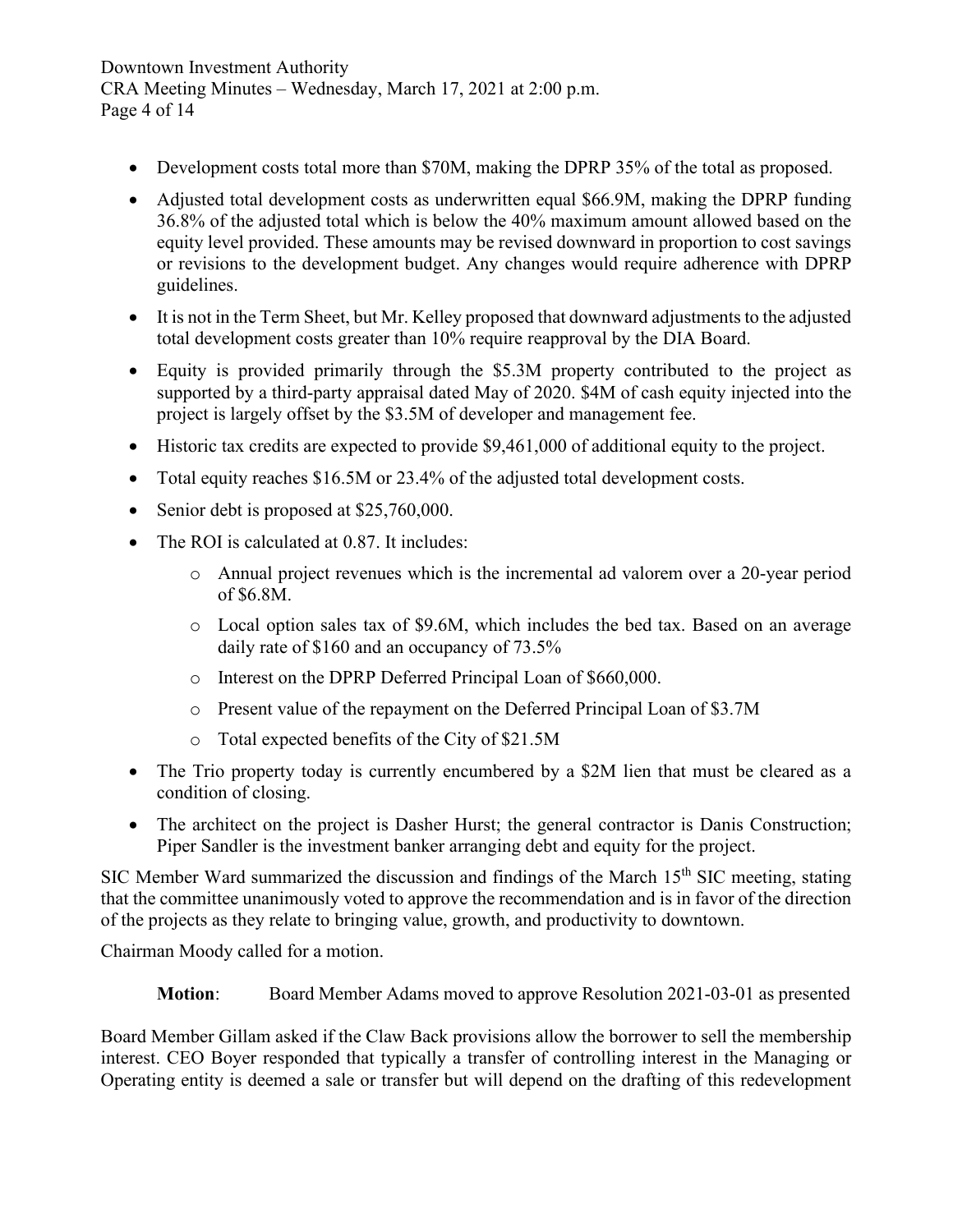### Downtown Investment Authority CRA Meeting Minutes – Wednesday, March 17, 2021 at 2:00 p.m. Page 4 of 14

- Development costs total more than \$70M, making the DPRP 35% of the total as proposed.
- Adjusted total development costs as underwritten equal \$66.9M, making the DPRP funding 36.8% of the adjusted total which is below the 40% maximum amount allowed based on the equity level provided. These amounts may be revised downward in proportion to cost savings or revisions to the development budget. Any changes would require adherence with DPRP guidelines.
- It is not in the Term Sheet, but Mr. Kelley proposed that downward adjustments to the adjusted total development costs greater than 10% require reapproval by the DIA Board.
- Equity is provided primarily through the \$5.3M property contributed to the project as supported by a third-party appraisal dated May of 2020. \$4M of cash equity injected into the project is largely offset by the \$3.5M of developer and management fee.
- Historic tax credits are expected to provide \$9,461,000 of additional equity to the project.
- Total equity reaches \$16.5M or 23.4% of the adjusted total development costs.
- Senior debt is proposed at \$25,760,000.
- The ROI is calculated at 0.87. It includes:
	- o Annual project revenues which is the incremental ad valorem over a 20-year period of \$6.8M.
	- o Local option sales tax of \$9.6M, which includes the bed tax. Based on an average daily rate of \$160 and an occupancy of 73.5%
	- o Interest on the DPRP Deferred Principal Loan of \$660,000.
	- o Present value of the repayment on the Deferred Principal Loan of \$3.7M
	- o Total expected benefits of the City of \$21.5M
- The Trio property today is currently encumbered by a \$2M lien that must be cleared as a condition of closing.
- The architect on the project is Dasher Hurst; the general contractor is Danis Construction; Piper Sandler is the investment banker arranging debt and equity for the project.

SIC Member Ward summarized the discussion and findings of the March  $15<sup>th</sup>$  SIC meeting, stating that the committee unanimously voted to approve the recommendation and is in favor of the direction of the projects as they relate to bringing value, growth, and productivity to downtown.

Chairman Moody called for a motion.

**Motion**: Board Member Adams moved to approve Resolution 2021-03-01 as presented

Board Member Gillam asked if the Claw Back provisions allow the borrower to sell the membership interest. CEO Boyer responded that typically a transfer of controlling interest in the Managing or Operating entity is deemed a sale or transfer but will depend on the drafting of this redevelopment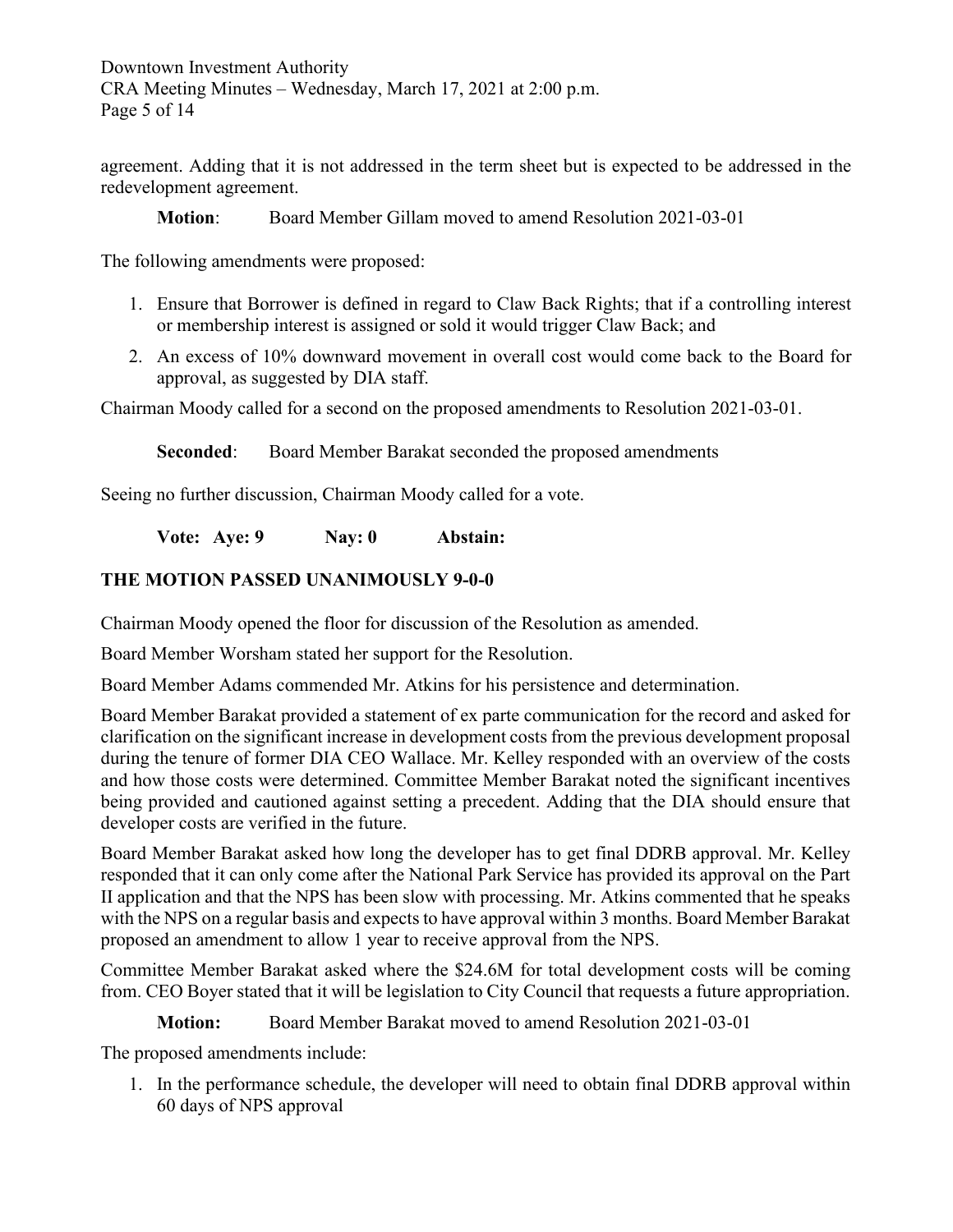Downtown Investment Authority CRA Meeting Minutes – Wednesday, March 17, 2021 at 2:00 p.m. Page 5 of 14

agreement. Adding that it is not addressed in the term sheet but is expected to be addressed in the redevelopment agreement.

**Motion**: Board Member Gillam moved to amend Resolution 2021-03-01

The following amendments were proposed:

- 1. Ensure that Borrower is defined in regard to Claw Back Rights; that if a controlling interest or membership interest is assigned or sold it would trigger Claw Back; and
- 2. An excess of 10% downward movement in overall cost would come back to the Board for approval, as suggested by DIA staff.

Chairman Moody called for a second on the proposed amendments to Resolution 2021-03-01.

**Seconded:** Board Member Barakat seconded the proposed amendments

Seeing no further discussion, Chairman Moody called for a vote.

**Vote: Aye: 9 Nay: 0 Abstain:** 

# **THE MOTION PASSED UNANIMOUSLY 9-0-0**

Chairman Moody opened the floor for discussion of the Resolution as amended.

Board Member Worsham stated her support for the Resolution.

Board Member Adams commended Mr. Atkins for his persistence and determination.

Board Member Barakat provided a statement of ex parte communication for the record and asked for clarification on the significant increase in development costs from the previous development proposal during the tenure of former DIA CEO Wallace. Mr. Kelley responded with an overview of the costs and how those costs were determined. Committee Member Barakat noted the significant incentives being provided and cautioned against setting a precedent. Adding that the DIA should ensure that developer costs are verified in the future.

Board Member Barakat asked how long the developer has to get final DDRB approval. Mr. Kelley responded that it can only come after the National Park Service has provided its approval on the Part II application and that the NPS has been slow with processing. Mr. Atkins commented that he speaks with the NPS on a regular basis and expects to have approval within 3 months. Board Member Barakat proposed an amendment to allow 1 year to receive approval from the NPS.

Committee Member Barakat asked where the \$24.6M for total development costs will be coming from. CEO Boyer stated that it will be legislation to City Council that requests a future appropriation.

## **Motion:** Board Member Barakat moved to amend Resolution 2021-03-01

The proposed amendments include:

1. In the performance schedule, the developer will need to obtain final DDRB approval within 60 days of NPS approval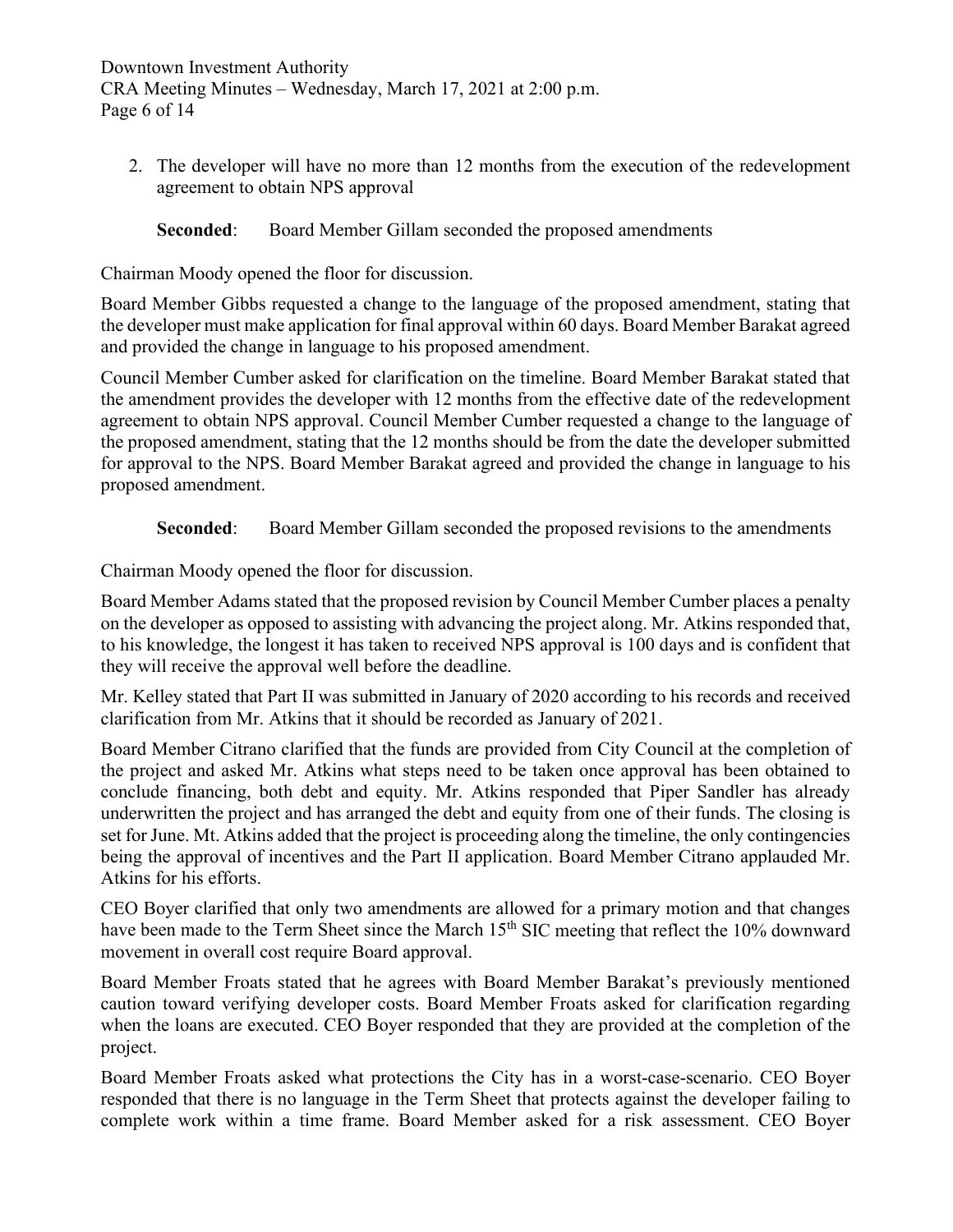Downtown Investment Authority CRA Meeting Minutes – Wednesday, March 17, 2021 at 2:00 p.m. Page 6 of 14

2. The developer will have no more than 12 months from the execution of the redevelopment agreement to obtain NPS approval

**Seconded:** Board Member Gillam seconded the proposed amendments

Chairman Moody opened the floor for discussion.

Board Member Gibbs requested a change to the language of the proposed amendment, stating that the developer must make application for final approval within 60 days. Board Member Barakat agreed and provided the change in language to his proposed amendment.

Council Member Cumber asked for clarification on the timeline. Board Member Barakat stated that the amendment provides the developer with 12 months from the effective date of the redevelopment agreement to obtain NPS approval. Council Member Cumber requested a change to the language of the proposed amendment, stating that the 12 months should be from the date the developer submitted for approval to the NPS. Board Member Barakat agreed and provided the change in language to his proposed amendment.

**Seconded:** Board Member Gillam seconded the proposed revisions to the amendments

Chairman Moody opened the floor for discussion.

Board Member Adams stated that the proposed revision by Council Member Cumber places a penalty on the developer as opposed to assisting with advancing the project along. Mr. Atkins responded that, to his knowledge, the longest it has taken to received NPS approval is 100 days and is confident that they will receive the approval well before the deadline.

Mr. Kelley stated that Part II was submitted in January of 2020 according to his records and received clarification from Mr. Atkins that it should be recorded as January of 2021.

Board Member Citrano clarified that the funds are provided from City Council at the completion of the project and asked Mr. Atkins what steps need to be taken once approval has been obtained to conclude financing, both debt and equity. Mr. Atkins responded that Piper Sandler has already underwritten the project and has arranged the debt and equity from one of their funds. The closing is set for June. Mt. Atkins added that the project is proceeding along the timeline, the only contingencies being the approval of incentives and the Part II application. Board Member Citrano applauded Mr. Atkins for his efforts.

CEO Boyer clarified that only two amendments are allowed for a primary motion and that changes have been made to the Term Sheet since the March 15<sup>th</sup> SIC meeting that reflect the 10% downward movement in overall cost require Board approval.

Board Member Froats stated that he agrees with Board Member Barakat's previously mentioned caution toward verifying developer costs. Board Member Froats asked for clarification regarding when the loans are executed. CEO Boyer responded that they are provided at the completion of the project.

Board Member Froats asked what protections the City has in a worst-case-scenario. CEO Boyer responded that there is no language in the Term Sheet that protects against the developer failing to complete work within a time frame. Board Member asked for a risk assessment. CEO Boyer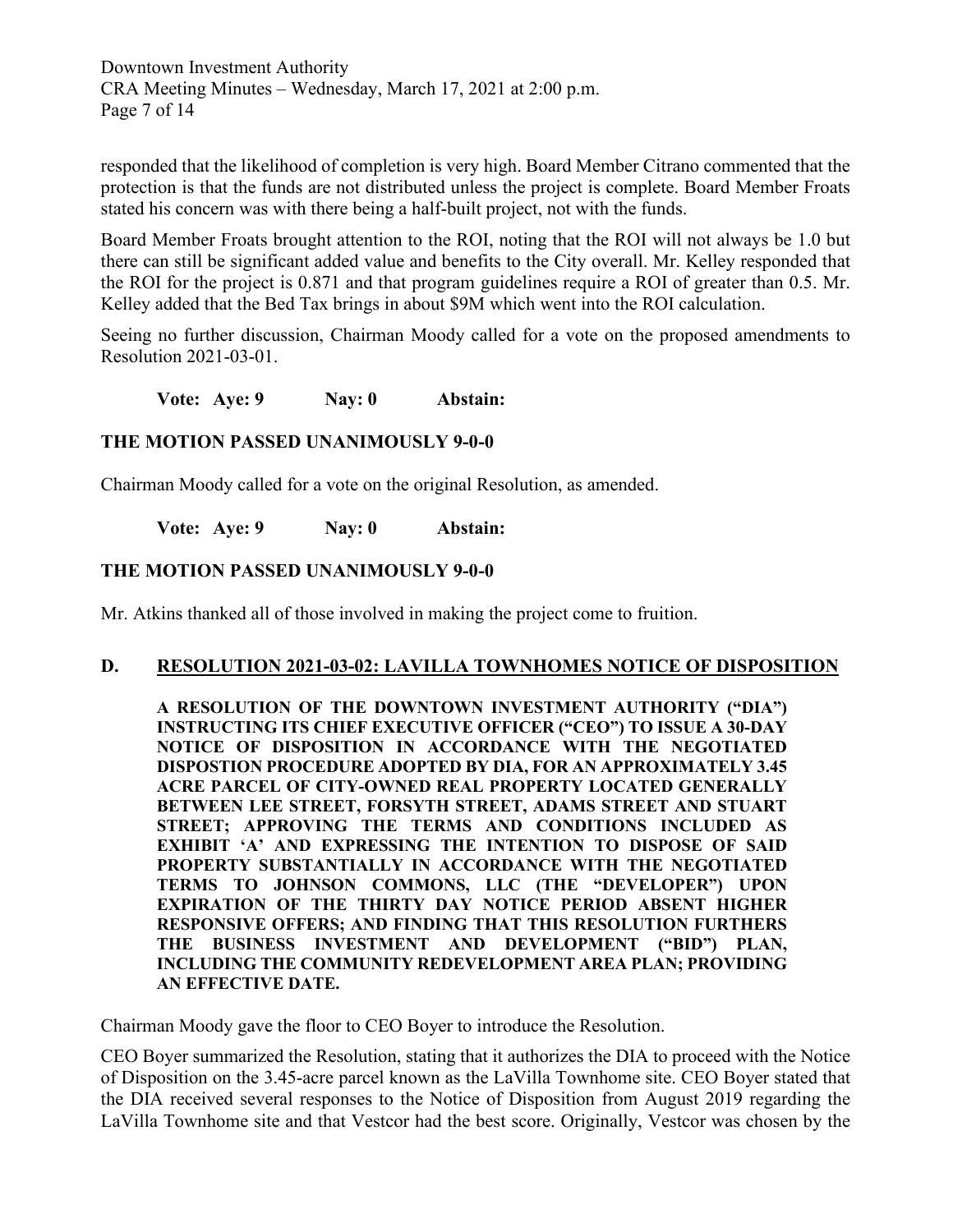Downtown Investment Authority CRA Meeting Minutes – Wednesday, March 17, 2021 at 2:00 p.m. Page 7 of 14

responded that the likelihood of completion is very high. Board Member Citrano commented that the protection is that the funds are not distributed unless the project is complete. Board Member Froats stated his concern was with there being a half-built project, not with the funds.

Board Member Froats brought attention to the ROI, noting that the ROI will not always be 1.0 but there can still be significant added value and benefits to the City overall. Mr. Kelley responded that the ROI for the project is 0.871 and that program guidelines require a ROI of greater than 0.5. Mr. Kelley added that the Bed Tax brings in about \$9M which went into the ROI calculation.

Seeing no further discussion, Chairman Moody called for a vote on the proposed amendments to Resolution 2021-03-01.

**Vote: Aye: 9 Nay: 0 Abstain:** 

### **THE MOTION PASSED UNANIMOUSLY 9-0-0**

Chairman Moody called for a vote on the original Resolution, as amended.

**Vote: Aye: 9 Nay: 0 Abstain:** 

### **THE MOTION PASSED UNANIMOUSLY 9-0-0**

Mr. Atkins thanked all of those involved in making the project come to fruition.

#### **D. RESOLUTION 2021-03-02: LAVILLA TOWNHOMES NOTICE OF DISPOSITION**

**A RESOLUTION OF THE DOWNTOWN INVESTMENT AUTHORITY ("DIA") INSTRUCTING ITS CHIEF EXECUTIVE OFFICER ("CEO") TO ISSUE A 30-DAY NOTICE OF DISPOSITION IN ACCORDANCE WITH THE NEGOTIATED DISPOSTION PROCEDURE ADOPTED BY DIA, FOR AN APPROXIMATELY 3.45 ACRE PARCEL OF CITY-OWNED REAL PROPERTY LOCATED GENERALLY BETWEEN LEE STREET, FORSYTH STREET, ADAMS STREET AND STUART STREET; APPROVING THE TERMS AND CONDITIONS INCLUDED AS EXHIBIT 'A' AND EXPRESSING THE INTENTION TO DISPOSE OF SAID PROPERTY SUBSTANTIALLY IN ACCORDANCE WITH THE NEGOTIATED TERMS TO JOHNSON COMMONS, LLC (THE "DEVELOPER") UPON EXPIRATION OF THE THIRTY DAY NOTICE PERIOD ABSENT HIGHER RESPONSIVE OFFERS; AND FINDING THAT THIS RESOLUTION FURTHERS THE BUSINESS INVESTMENT AND DEVELOPMENT ("BID") PLAN, INCLUDING THE COMMUNITY REDEVELOPMENT AREA PLAN; PROVIDING AN EFFECTIVE DATE.**

Chairman Moody gave the floor to CEO Boyer to introduce the Resolution.

CEO Boyer summarized the Resolution, stating that it authorizes the DIA to proceed with the Notice of Disposition on the 3.45-acre parcel known as the LaVilla Townhome site. CEO Boyer stated that the DIA received several responses to the Notice of Disposition from August 2019 regarding the LaVilla Townhome site and that Vestcor had the best score. Originally, Vestcor was chosen by the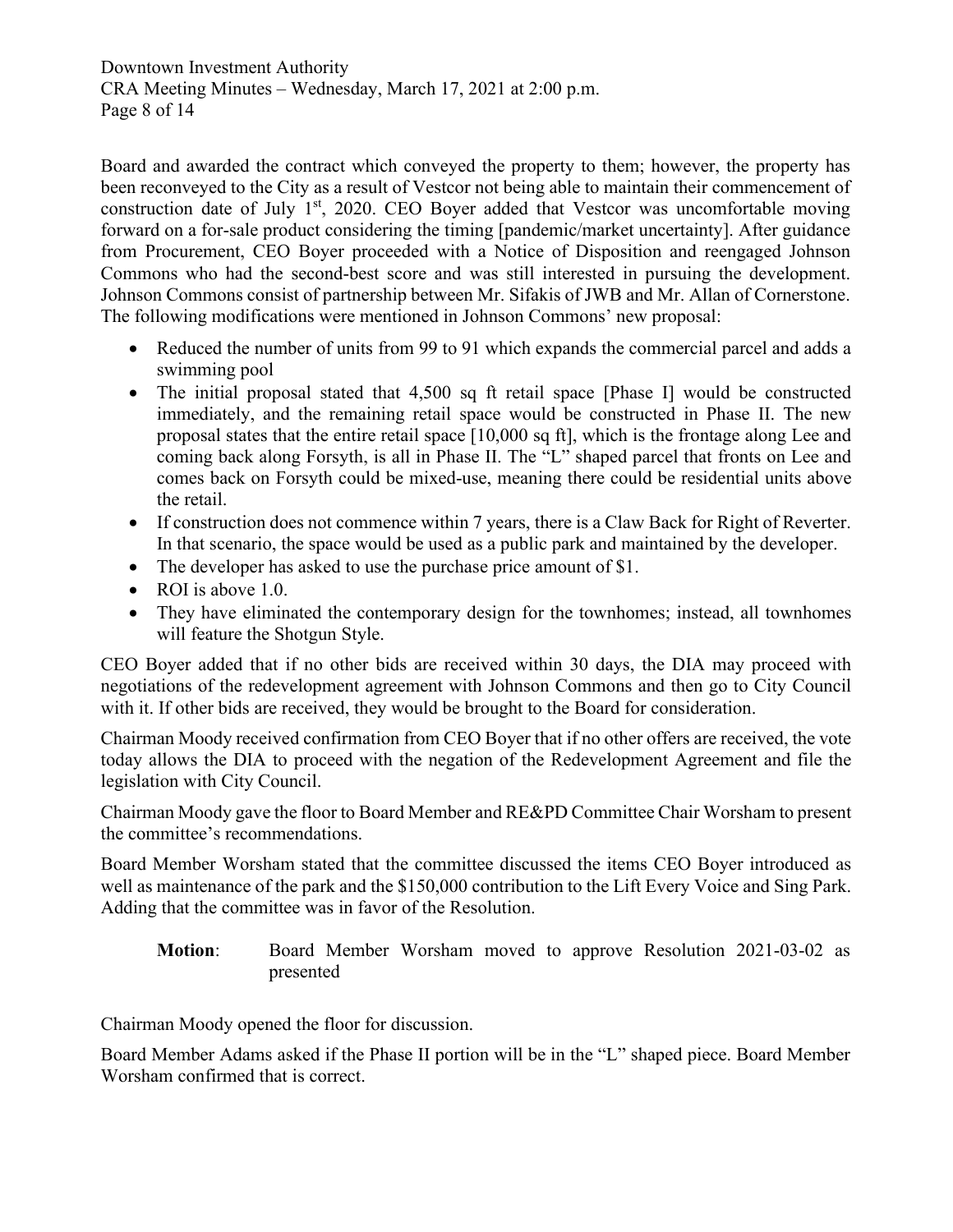Downtown Investment Authority CRA Meeting Minutes – Wednesday, March 17, 2021 at 2:00 p.m. Page 8 of 14

Board and awarded the contract which conveyed the property to them; however, the property has been reconveyed to the City as a result of Vestcor not being able to maintain their commencement of construction date of July  $1<sup>st</sup>$ , 2020. CEO Boyer added that Vestcor was uncomfortable moving forward on a for-sale product considering the timing [pandemic/market uncertainty]. After guidance from Procurement, CEO Boyer proceeded with a Notice of Disposition and reengaged Johnson Commons who had the second-best score and was still interested in pursuing the development. Johnson Commons consist of partnership between Mr. Sifakis of JWB and Mr. Allan of Cornerstone. The following modifications were mentioned in Johnson Commons' new proposal:

- Reduced the number of units from 99 to 91 which expands the commercial parcel and adds a swimming pool
- The initial proposal stated that 4,500 sq ft retail space [Phase I] would be constructed immediately, and the remaining retail space would be constructed in Phase II. The new proposal states that the entire retail space [10,000 sq ft], which is the frontage along Lee and coming back along Forsyth, is all in Phase II. The "L" shaped parcel that fronts on Lee and comes back on Forsyth could be mixed-use, meaning there could be residential units above the retail.
- If construction does not commence within 7 years, there is a Claw Back for Right of Reverter. In that scenario, the space would be used as a public park and maintained by the developer.
- The developer has asked to use the purchase price amount of \$1.
- ROI is above 1.0.
- They have eliminated the contemporary design for the townhomes; instead, all townhomes will feature the Shotgun Style.

CEO Boyer added that if no other bids are received within 30 days, the DIA may proceed with negotiations of the redevelopment agreement with Johnson Commons and then go to City Council with it. If other bids are received, they would be brought to the Board for consideration.

Chairman Moody received confirmation from CEO Boyer that if no other offers are received, the vote today allows the DIA to proceed with the negation of the Redevelopment Agreement and file the legislation with City Council.

Chairman Moody gave the floor to Board Member and RE&PD Committee Chair Worsham to present the committee's recommendations.

Board Member Worsham stated that the committee discussed the items CEO Boyer introduced as well as maintenance of the park and the \$150,000 contribution to the Lift Every Voice and Sing Park. Adding that the committee was in favor of the Resolution.

**Motion**: Board Member Worsham moved to approve Resolution 2021-03-02 as presented

Chairman Moody opened the floor for discussion.

Board Member Adams asked if the Phase II portion will be in the "L" shaped piece. Board Member Worsham confirmed that is correct.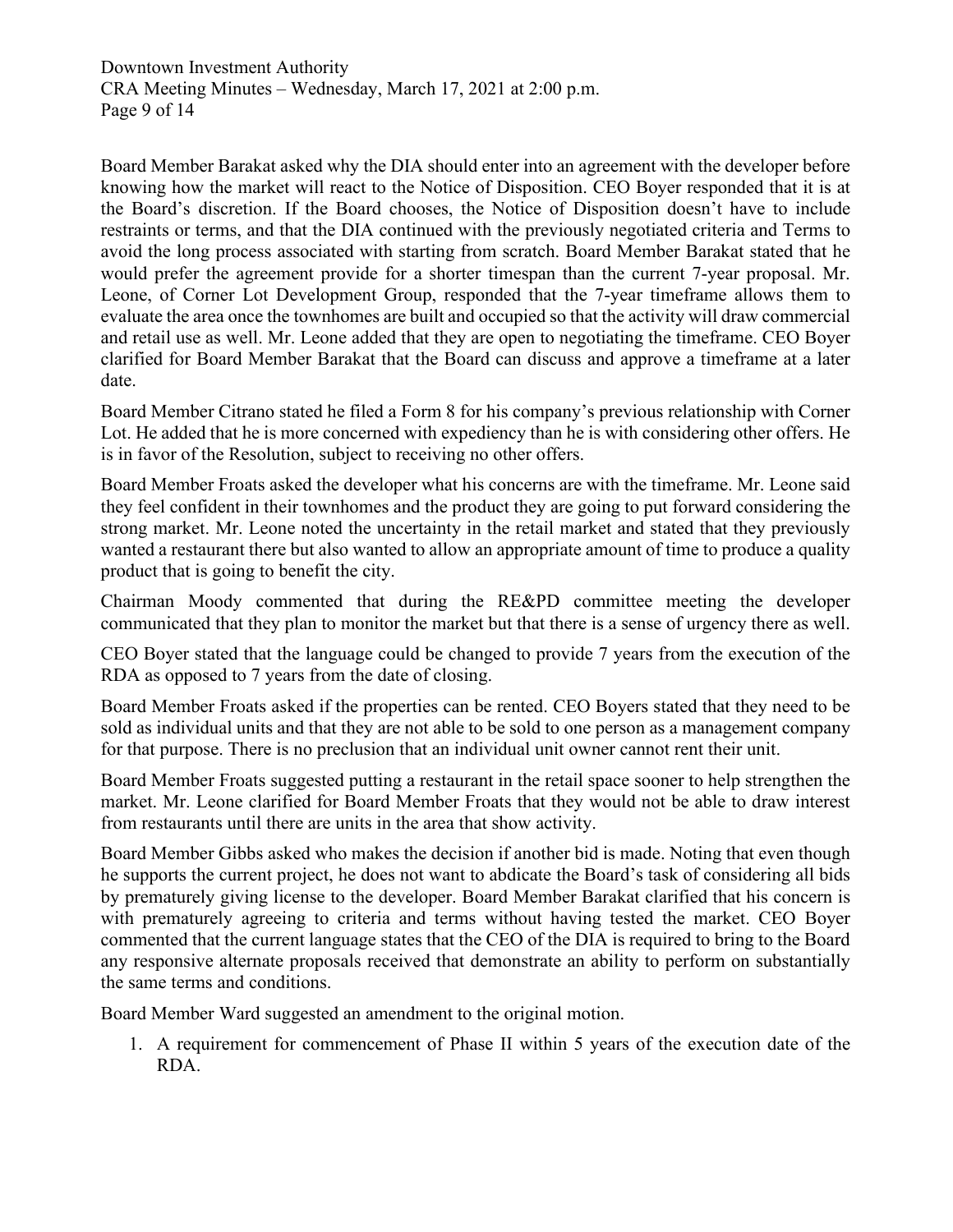Downtown Investment Authority CRA Meeting Minutes – Wednesday, March 17, 2021 at 2:00 p.m. Page 9 of 14

Board Member Barakat asked why the DIA should enter into an agreement with the developer before knowing how the market will react to the Notice of Disposition. CEO Boyer responded that it is at the Board's discretion. If the Board chooses, the Notice of Disposition doesn't have to include restraints or terms, and that the DIA continued with the previously negotiated criteria and Terms to avoid the long process associated with starting from scratch. Board Member Barakat stated that he would prefer the agreement provide for a shorter timespan than the current 7-year proposal. Mr. Leone, of Corner Lot Development Group, responded that the 7-year timeframe allows them to evaluate the area once the townhomes are built and occupied so that the activity will draw commercial and retail use as well. Mr. Leone added that they are open to negotiating the timeframe. CEO Boyer clarified for Board Member Barakat that the Board can discuss and approve a timeframe at a later date.

Board Member Citrano stated he filed a Form 8 for his company's previous relationship with Corner Lot. He added that he is more concerned with expediency than he is with considering other offers. He is in favor of the Resolution, subject to receiving no other offers.

Board Member Froats asked the developer what his concerns are with the timeframe. Mr. Leone said they feel confident in their townhomes and the product they are going to put forward considering the strong market. Mr. Leone noted the uncertainty in the retail market and stated that they previously wanted a restaurant there but also wanted to allow an appropriate amount of time to produce a quality product that is going to benefit the city.

Chairman Moody commented that during the RE&PD committee meeting the developer communicated that they plan to monitor the market but that there is a sense of urgency there as well.

CEO Boyer stated that the language could be changed to provide 7 years from the execution of the RDA as opposed to 7 years from the date of closing.

Board Member Froats asked if the properties can be rented. CEO Boyers stated that they need to be sold as individual units and that they are not able to be sold to one person as a management company for that purpose. There is no preclusion that an individual unit owner cannot rent their unit.

Board Member Froats suggested putting a restaurant in the retail space sooner to help strengthen the market. Mr. Leone clarified for Board Member Froats that they would not be able to draw interest from restaurants until there are units in the area that show activity.

Board Member Gibbs asked who makes the decision if another bid is made. Noting that even though he supports the current project, he does not want to abdicate the Board's task of considering all bids by prematurely giving license to the developer. Board Member Barakat clarified that his concern is with prematurely agreeing to criteria and terms without having tested the market. CEO Boyer commented that the current language states that the CEO of the DIA is required to bring to the Board any responsive alternate proposals received that demonstrate an ability to perform on substantially the same terms and conditions.

Board Member Ward suggested an amendment to the original motion.

1. A requirement for commencement of Phase II within 5 years of the execution date of the RDA.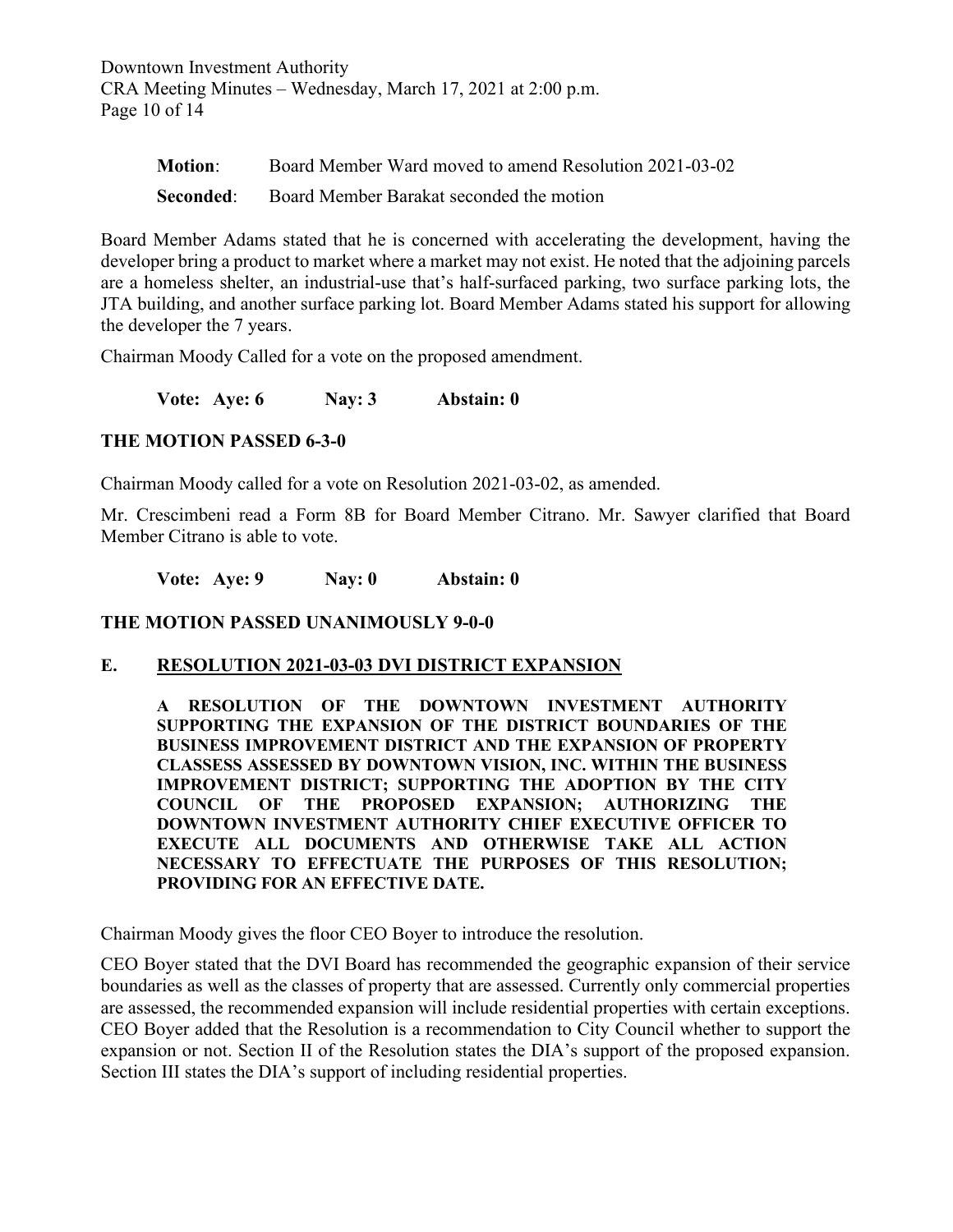Downtown Investment Authority CRA Meeting Minutes – Wednesday, March 17, 2021 at 2:00 p.m. Page 10 of 14

| Motion: | Board Member Ward moved to amend Resolution 2021-03-02    |
|---------|-----------------------------------------------------------|
|         | <b>Seconded:</b> Board Member Barakat seconded the motion |

Board Member Adams stated that he is concerned with accelerating the development, having the developer bring a product to market where a market may not exist. He noted that the adjoining parcels are a homeless shelter, an industrial-use that's half-surfaced parking, two surface parking lots, the JTA building, and another surface parking lot. Board Member Adams stated his support for allowing the developer the 7 years.

Chairman Moody Called for a vote on the proposed amendment.

**Vote: Aye: 6 Nay: 3 Abstain: 0**

### **THE MOTION PASSED 6-3-0**

Chairman Moody called for a vote on Resolution 2021-03-02, as amended.

Mr. Crescimbeni read a Form 8B for Board Member Citrano. Mr. Sawyer clarified that Board Member Citrano is able to vote.

**Vote: Aye: 9 Nay: 0 Abstain: 0**

**THE MOTION PASSED UNANIMOUSLY 9-0-0**

#### **E. RESOLUTION 2021-03-03 DVI DISTRICT EXPANSION**

**A RESOLUTION OF THE DOWNTOWN INVESTMENT AUTHORITY SUPPORTING THE EXPANSION OF THE DISTRICT BOUNDARIES OF THE BUSINESS IMPROVEMENT DISTRICT AND THE EXPANSION OF PROPERTY CLASSESS ASSESSED BY DOWNTOWN VISION, INC. WITHIN THE BUSINESS IMPROVEMENT DISTRICT; SUPPORTING THE ADOPTION BY THE CITY COUNCIL OF THE PROPOSED EXPANSION; AUTHORIZING THE DOWNTOWN INVESTMENT AUTHORITY CHIEF EXECUTIVE OFFICER TO EXECUTE ALL DOCUMENTS AND OTHERWISE TAKE ALL ACTION NECESSARY TO EFFECTUATE THE PURPOSES OF THIS RESOLUTION; PROVIDING FOR AN EFFECTIVE DATE.**

Chairman Moody gives the floor CEO Boyer to introduce the resolution.

CEO Boyer stated that the DVI Board has recommended the geographic expansion of their service boundaries as well as the classes of property that are assessed. Currently only commercial properties are assessed, the recommended expansion will include residential properties with certain exceptions. CEO Boyer added that the Resolution is a recommendation to City Council whether to support the expansion or not. Section II of the Resolution states the DIA's support of the proposed expansion. Section III states the DIA's support of including residential properties.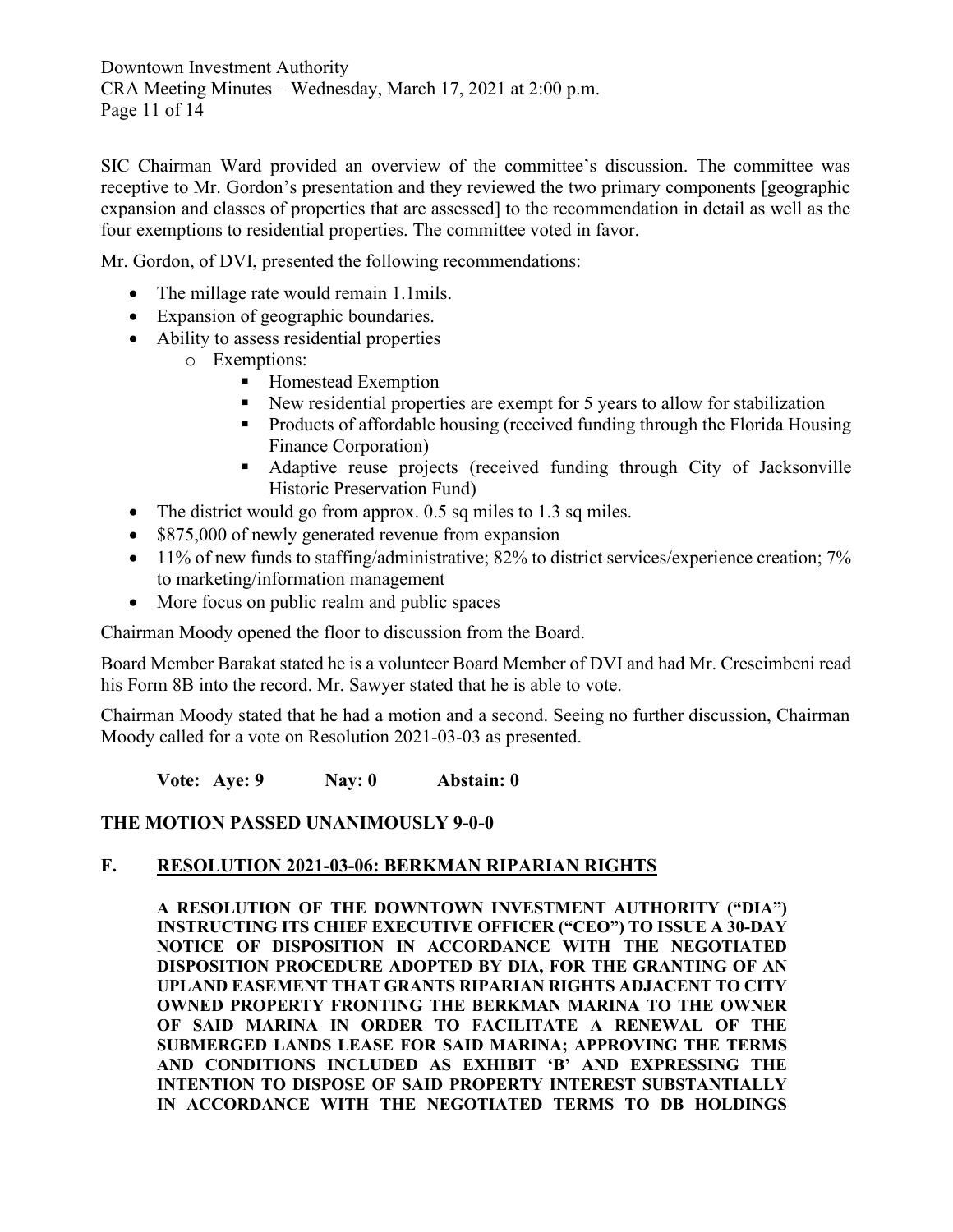Downtown Investment Authority CRA Meeting Minutes – Wednesday, March 17, 2021 at 2:00 p.m. Page 11 of 14

SIC Chairman Ward provided an overview of the committee's discussion. The committee was receptive to Mr. Gordon's presentation and they reviewed the two primary components [geographic expansion and classes of properties that are assessed] to the recommendation in detail as well as the four exemptions to residential properties. The committee voted in favor.

Mr. Gordon, of DVI, presented the following recommendations:

- The millage rate would remain 1.1mils.
- Expansion of geographic boundaries.
- Ability to assess residential properties
	- o Exemptions:
		- Homestead Exemption
		- New residential properties are exempt for 5 years to allow for stabilization
		- Products of affordable housing (received funding through the Florida Housing Finance Corporation)
		- Adaptive reuse projects (received funding through City of Jacksonville Historic Preservation Fund)
- The district would go from approx. 0.5 sq miles to 1.3 sq miles.
- \$875,000 of newly generated revenue from expansion
- 11% of new funds to staffing/administrative;  $82%$  to district services/experience creation;  $7%$ to marketing/information management
- More focus on public realm and public spaces

Chairman Moody opened the floor to discussion from the Board.

Board Member Barakat stated he is a volunteer Board Member of DVI and had Mr. Crescimbeni read his Form 8B into the record. Mr. Sawyer stated that he is able to vote.

Chairman Moody stated that he had a motion and a second. Seeing no further discussion, Chairman Moody called for a vote on Resolution 2021-03-03 as presented.

**Vote: Aye: 9 Nay: 0 Abstain: 0**

#### **THE MOTION PASSED UNANIMOUSLY 9-0-0**

#### **F. RESOLUTION 2021-03-06: BERKMAN RIPARIAN RIGHTS**

**A RESOLUTION OF THE DOWNTOWN INVESTMENT AUTHORITY ("DIA") INSTRUCTING ITS CHIEF EXECUTIVE OFFICER ("CEO") TO ISSUE A 30-DAY NOTICE OF DISPOSITION IN ACCORDANCE WITH THE NEGOTIATED DISPOSITION PROCEDURE ADOPTED BY DIA, FOR THE GRANTING OF AN UPLAND EASEMENT THAT GRANTS RIPARIAN RIGHTS ADJACENT TO CITY OWNED PROPERTY FRONTING THE BERKMAN MARINA TO THE OWNER OF SAID MARINA IN ORDER TO FACILITATE A RENEWAL OF THE SUBMERGED LANDS LEASE FOR SAID MARINA; APPROVING THE TERMS AND CONDITIONS INCLUDED AS EXHIBIT 'B' AND EXPRESSING THE INTENTION TO DISPOSE OF SAID PROPERTY INTEREST SUBSTANTIALLY IN ACCORDANCE WITH THE NEGOTIATED TERMS TO DB HOLDINGS**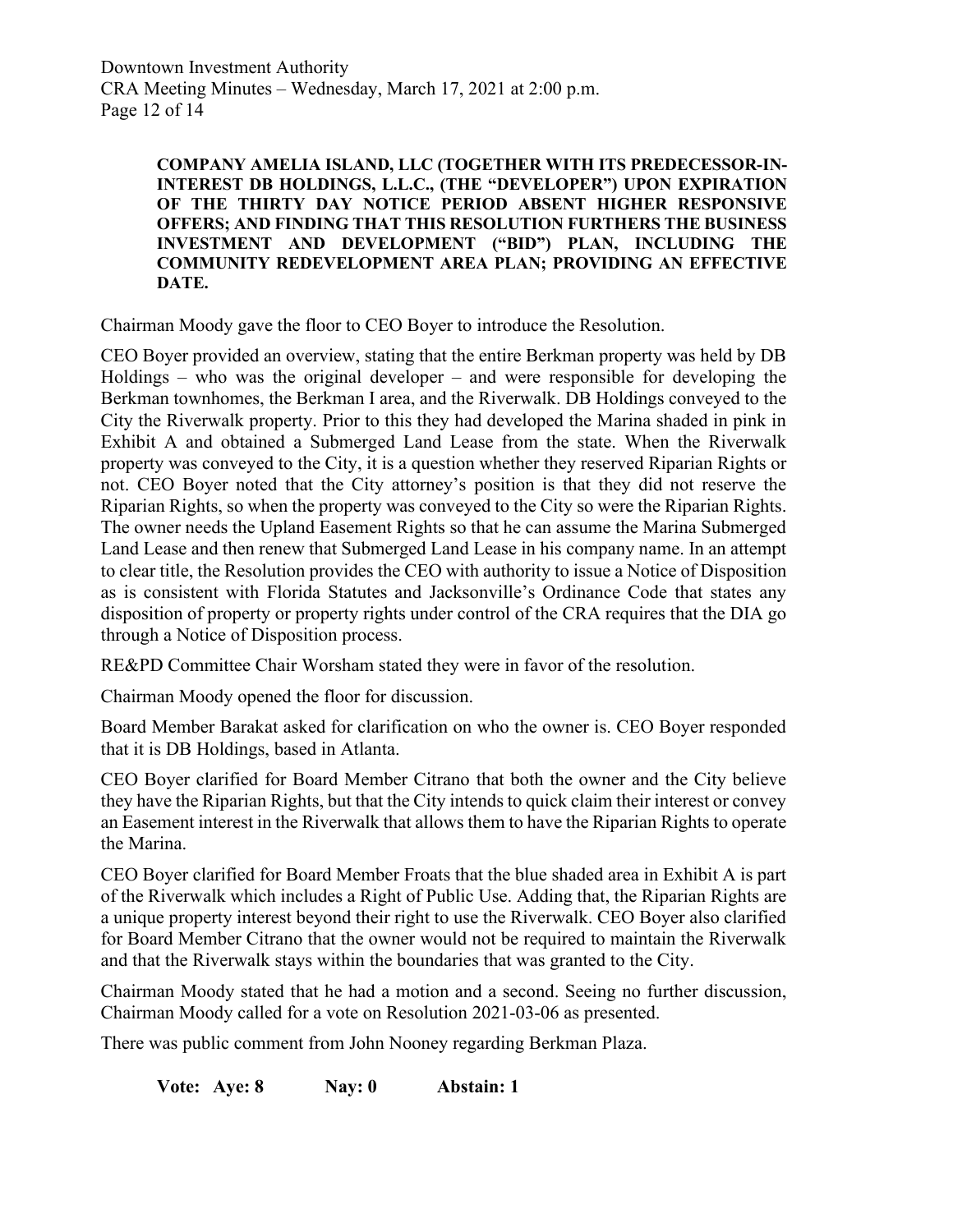Downtown Investment Authority CRA Meeting Minutes – Wednesday, March 17, 2021 at 2:00 p.m. Page 12 of 14

> **COMPANY AMELIA ISLAND, LLC (TOGETHER WITH ITS PREDECESSOR-IN-INTEREST DB HOLDINGS, L.L.C., (THE "DEVELOPER") UPON EXPIRATION OF THE THIRTY DAY NOTICE PERIOD ABSENT HIGHER RESPONSIVE OFFERS; AND FINDING THAT THIS RESOLUTION FURTHERS THE BUSINESS INVESTMENT AND DEVELOPMENT ("BID") PLAN, INCLUDING THE COMMUNITY REDEVELOPMENT AREA PLAN; PROVIDING AN EFFECTIVE DATE.**

Chairman Moody gave the floor to CEO Boyer to introduce the Resolution.

CEO Boyer provided an overview, stating that the entire Berkman property was held by DB Holdings – who was the original developer – and were responsible for developing the Berkman townhomes, the Berkman I area, and the Riverwalk. DB Holdings conveyed to the City the Riverwalk property. Prior to this they had developed the Marina shaded in pink in Exhibit A and obtained a Submerged Land Lease from the state. When the Riverwalk property was conveyed to the City, it is a question whether they reserved Riparian Rights or not. CEO Boyer noted that the City attorney's position is that they did not reserve the Riparian Rights, so when the property was conveyed to the City so were the Riparian Rights. The owner needs the Upland Easement Rights so that he can assume the Marina Submerged Land Lease and then renew that Submerged Land Lease in his company name. In an attempt to clear title, the Resolution provides the CEO with authority to issue a Notice of Disposition as is consistent with Florida Statutes and Jacksonville's Ordinance Code that states any disposition of property or property rights under control of the CRA requires that the DIA go through a Notice of Disposition process.

RE&PD Committee Chair Worsham stated they were in favor of the resolution.

Chairman Moody opened the floor for discussion.

Board Member Barakat asked for clarification on who the owner is. CEO Boyer responded that it is DB Holdings, based in Atlanta.

CEO Boyer clarified for Board Member Citrano that both the owner and the City believe they have the Riparian Rights, but that the City intends to quick claim their interest or convey an Easement interest in the Riverwalk that allows them to have the Riparian Rights to operate the Marina.

CEO Boyer clarified for Board Member Froats that the blue shaded area in Exhibit A is part of the Riverwalk which includes a Right of Public Use. Adding that, the Riparian Rights are a unique property interest beyond their right to use the Riverwalk. CEO Boyer also clarified for Board Member Citrano that the owner would not be required to maintain the Riverwalk and that the Riverwalk stays within the boundaries that was granted to the City.

Chairman Moody stated that he had a motion and a second. Seeing no further discussion, Chairman Moody called for a vote on Resolution 2021-03-06 as presented.

There was public comment from John Nooney regarding Berkman Plaza.

**Vote: Aye: 8 Nay: 0 Abstain: 1**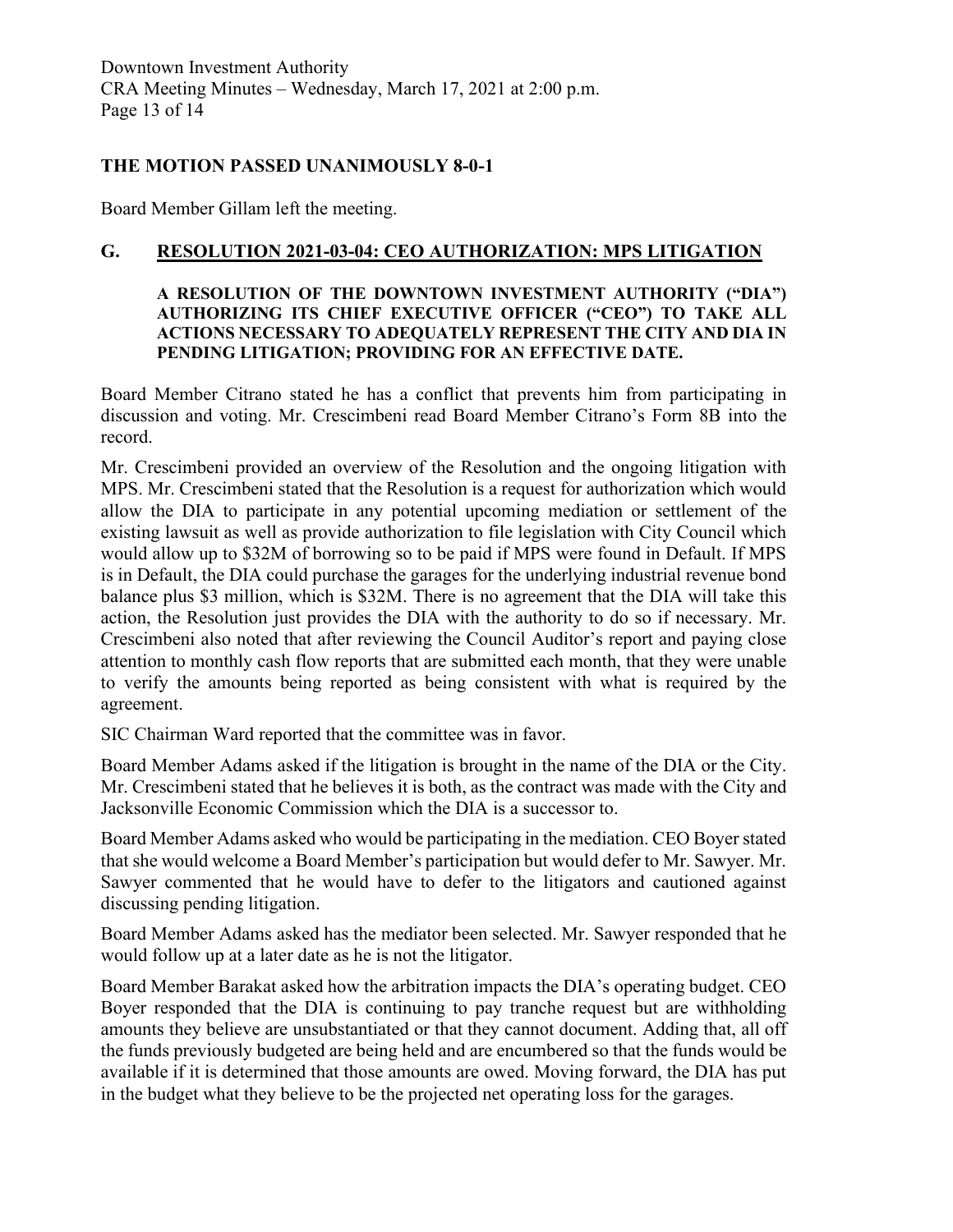## **THE MOTION PASSED UNANIMOUSLY 8-0-1**

Board Member Gillam left the meeting.

## **G. RESOLUTION 2021-03-04: CEO AUTHORIZATION: MPS LITIGATION**

#### **A RESOLUTION OF THE DOWNTOWN INVESTMENT AUTHORITY ("DIA") AUTHORIZING ITS CHIEF EXECUTIVE OFFICER ("CEO") TO TAKE ALL ACTIONS NECESSARY TO ADEQUATELY REPRESENT THE CITY AND DIA IN PENDING LITIGATION; PROVIDING FOR AN EFFECTIVE DATE.**

Board Member Citrano stated he has a conflict that prevents him from participating in discussion and voting. Mr. Crescimbeni read Board Member Citrano's Form 8B into the record.

Mr. Crescimbeni provided an overview of the Resolution and the ongoing litigation with MPS. Mr. Crescimbeni stated that the Resolution is a request for authorization which would allow the DIA to participate in any potential upcoming mediation or settlement of the existing lawsuit as well as provide authorization to file legislation with City Council which would allow up to \$32M of borrowing so to be paid if MPS were found in Default. If MPS is in Default, the DIA could purchase the garages for the underlying industrial revenue bond balance plus \$3 million, which is \$32M. There is no agreement that the DIA will take this action, the Resolution just provides the DIA with the authority to do so if necessary. Mr. Crescimbeni also noted that after reviewing the Council Auditor's report and paying close attention to monthly cash flow reports that are submitted each month, that they were unable to verify the amounts being reported as being consistent with what is required by the agreement.

SIC Chairman Ward reported that the committee was in favor.

Board Member Adams asked if the litigation is brought in the name of the DIA or the City. Mr. Crescimbeni stated that he believes it is both, as the contract was made with the City and Jacksonville Economic Commission which the DIA is a successor to.

Board Member Adams asked who would be participating in the mediation. CEO Boyer stated that she would welcome a Board Member's participation but would defer to Mr. Sawyer. Mr. Sawyer commented that he would have to defer to the litigators and cautioned against discussing pending litigation.

Board Member Adams asked has the mediator been selected. Mr. Sawyer responded that he would follow up at a later date as he is not the litigator.

Board Member Barakat asked how the arbitration impacts the DIA's operating budget. CEO Boyer responded that the DIA is continuing to pay tranche request but are withholding amounts they believe are unsubstantiated or that they cannot document. Adding that, all off the funds previously budgeted are being held and are encumbered so that the funds would be available if it is determined that those amounts are owed. Moving forward, the DIA has put in the budget what they believe to be the projected net operating loss for the garages.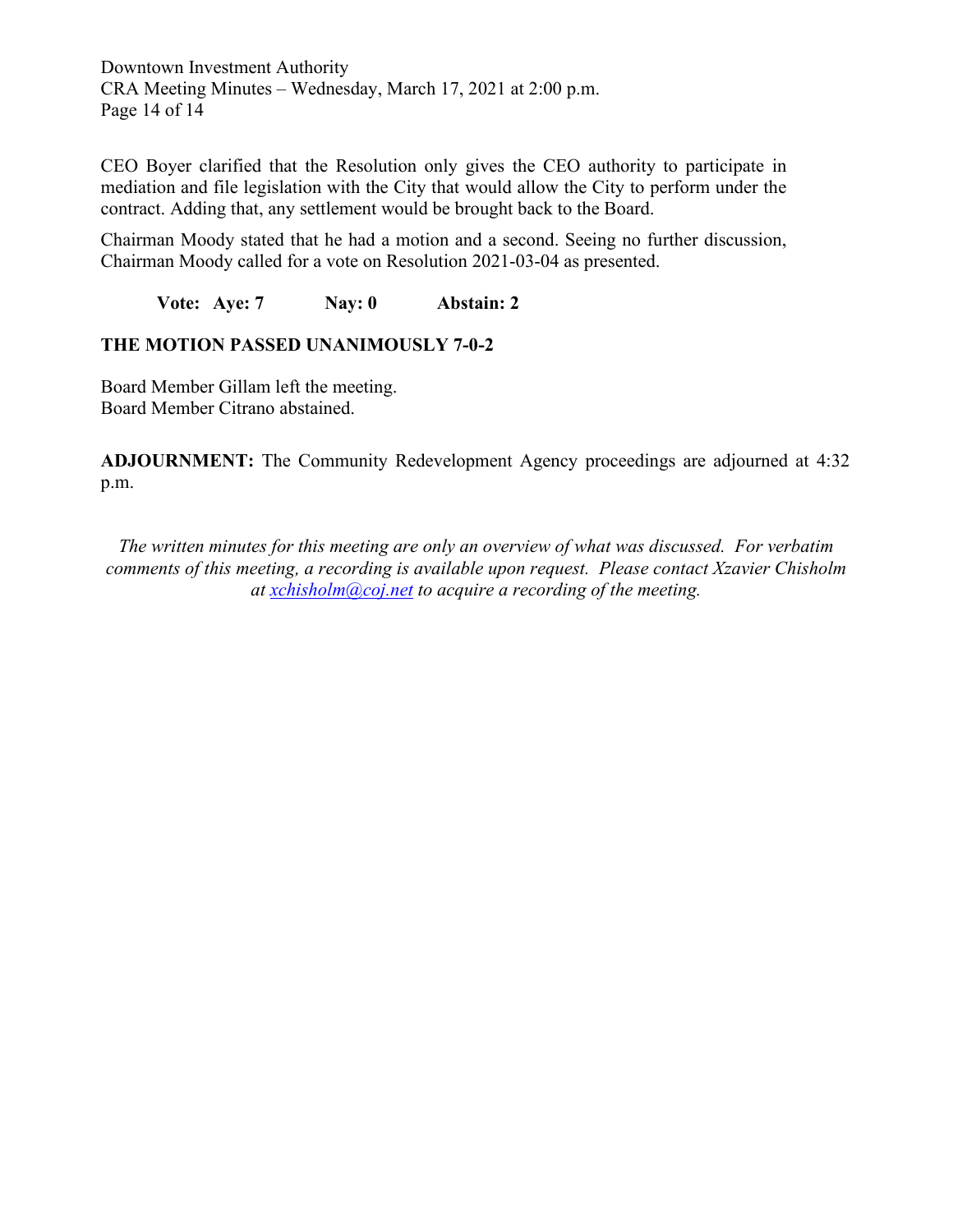Downtown Investment Authority CRA Meeting Minutes – Wednesday, March 17, 2021 at 2:00 p.m. Page 14 of 14

CEO Boyer clarified that the Resolution only gives the CEO authority to participate in mediation and file legislation with the City that would allow the City to perform under the contract. Adding that, any settlement would be brought back to the Board.

Chairman Moody stated that he had a motion and a second. Seeing no further discussion, Chairman Moody called for a vote on Resolution 2021-03-04 as presented.

**Vote: Aye: 7 Nay: 0 Abstain: 2**

### **THE MOTION PASSED UNANIMOUSLY 7-0-2**

Board Member Gillam left the meeting. Board Member Citrano abstained.

**ADJOURNMENT:** The Community Redevelopment Agency proceedings are adjourned at 4:32 p.m.

*The written minutes for this meeting are only an overview of what was discussed. For verbatim comments of this meeting, a recording is available upon request. Please contact Xzavier Chisholm at [xchisholm@coj.net](mailto:xchisholm@coj.net) to acquire a recording of the meeting.*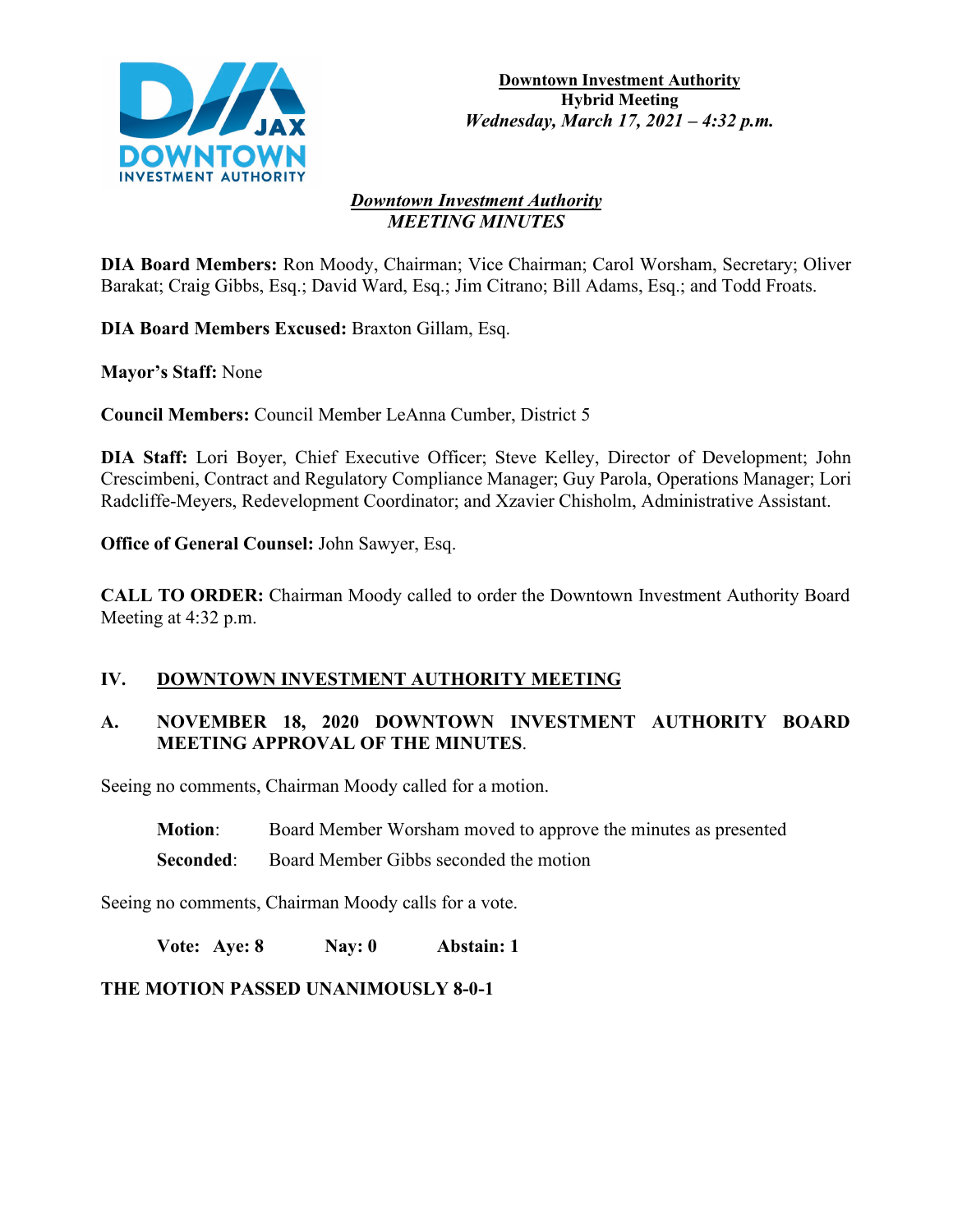

#### *Downtown Investment Authority MEETING MINUTES*

**DIA Board Members:** Ron Moody, Chairman; Vice Chairman; Carol Worsham, Secretary; Oliver Barakat; Craig Gibbs, Esq.; David Ward, Esq.; Jim Citrano; Bill Adams, Esq.; and Todd Froats.

**DIA Board Members Excused:** Braxton Gillam, Esq.

**Mayor's Staff:** None

**Council Members:** Council Member LeAnna Cumber, District 5

**DIA Staff:** Lori Boyer, Chief Executive Officer; Steve Kelley, Director of Development; John Crescimbeni, Contract and Regulatory Compliance Manager; Guy Parola, Operations Manager; Lori Radcliffe-Meyers, Redevelopment Coordinator; and Xzavier Chisholm, Administrative Assistant.

**Office of General Counsel:** John Sawyer, Esq.

**CALL TO ORDER:** Chairman Moody called to order the Downtown Investment Authority Board Meeting at 4:32 p.m.

## **IV. DOWNTOWN INVESTMENT AUTHORITY MEETING**

## **A. NOVEMBER 18, 2020 DOWNTOWN INVESTMENT AUTHORITY BOARD MEETING APPROVAL OF THE MINUTES**.

Seeing no comments, Chairman Moody called for a motion.

**Motion**: Board Member Worsham moved to approve the minutes as presented

**Seconded:** Board Member Gibbs seconded the motion

Seeing no comments, Chairman Moody calls for a vote.

**Vote: Aye: 8 Nay: 0 Abstain: 1**

**THE MOTION PASSED UNANIMOUSLY 8-0-1**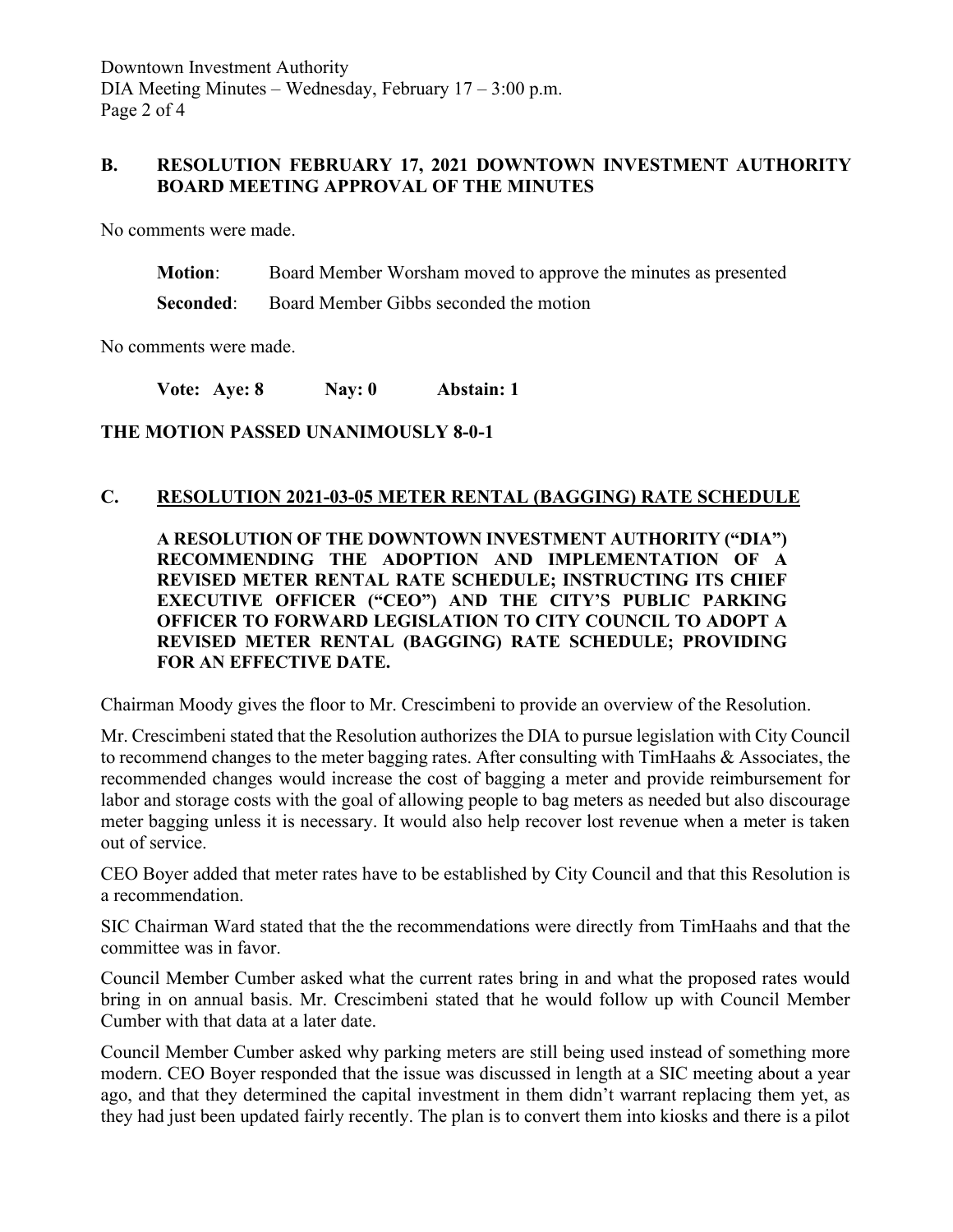### **B. RESOLUTION FEBRUARY 17, 2021 DOWNTOWN INVESTMENT AUTHORITY BOARD MEETING APPROVAL OF THE MINUTES**

No comments were made.

**Motion**: Board Member Worsham moved to approve the minutes as presented

**Seconded:** Board Member Gibbs seconded the motion

No comments were made.

**Vote: Aye: 8 Nay: 0 Abstain: 1**

**THE MOTION PASSED UNANIMOUSLY 8-0-1**

#### **C. RESOLUTION 2021-03-05 METER RENTAL (BAGGING) RATE SCHEDULE**

**A RESOLUTION OF THE DOWNTOWN INVESTMENT AUTHORITY ("DIA") RECOMMENDING THE ADOPTION AND IMPLEMENTATION OF A REVISED METER RENTAL RATE SCHEDULE; INSTRUCTING ITS CHIEF EXECUTIVE OFFICER ("CEO") AND THE CITY'S PUBLIC PARKING OFFICER TO FORWARD LEGISLATION TO CITY COUNCIL TO ADOPT A REVISED METER RENTAL (BAGGING) RATE SCHEDULE; PROVIDING FOR AN EFFECTIVE DATE.**

Chairman Moody gives the floor to Mr. Crescimbeni to provide an overview of the Resolution.

Mr. Crescimbeni stated that the Resolution authorizes the DIA to pursue legislation with City Council to recommend changes to the meter bagging rates. After consulting with TimHaahs & Associates, the recommended changes would increase the cost of bagging a meter and provide reimbursement for labor and storage costs with the goal of allowing people to bag meters as needed but also discourage meter bagging unless it is necessary. It would also help recover lost revenue when a meter is taken out of service.

CEO Boyer added that meter rates have to be established by City Council and that this Resolution is a recommendation.

SIC Chairman Ward stated that the the recommendations were directly from TimHaahs and that the committee was in favor.

Council Member Cumber asked what the current rates bring in and what the proposed rates would bring in on annual basis. Mr. Crescimbeni stated that he would follow up with Council Member Cumber with that data at a later date.

Council Member Cumber asked why parking meters are still being used instead of something more modern. CEO Boyer responded that the issue was discussed in length at a SIC meeting about a year ago, and that they determined the capital investment in them didn't warrant replacing them yet, as they had just been updated fairly recently. The plan is to convert them into kiosks and there is a pilot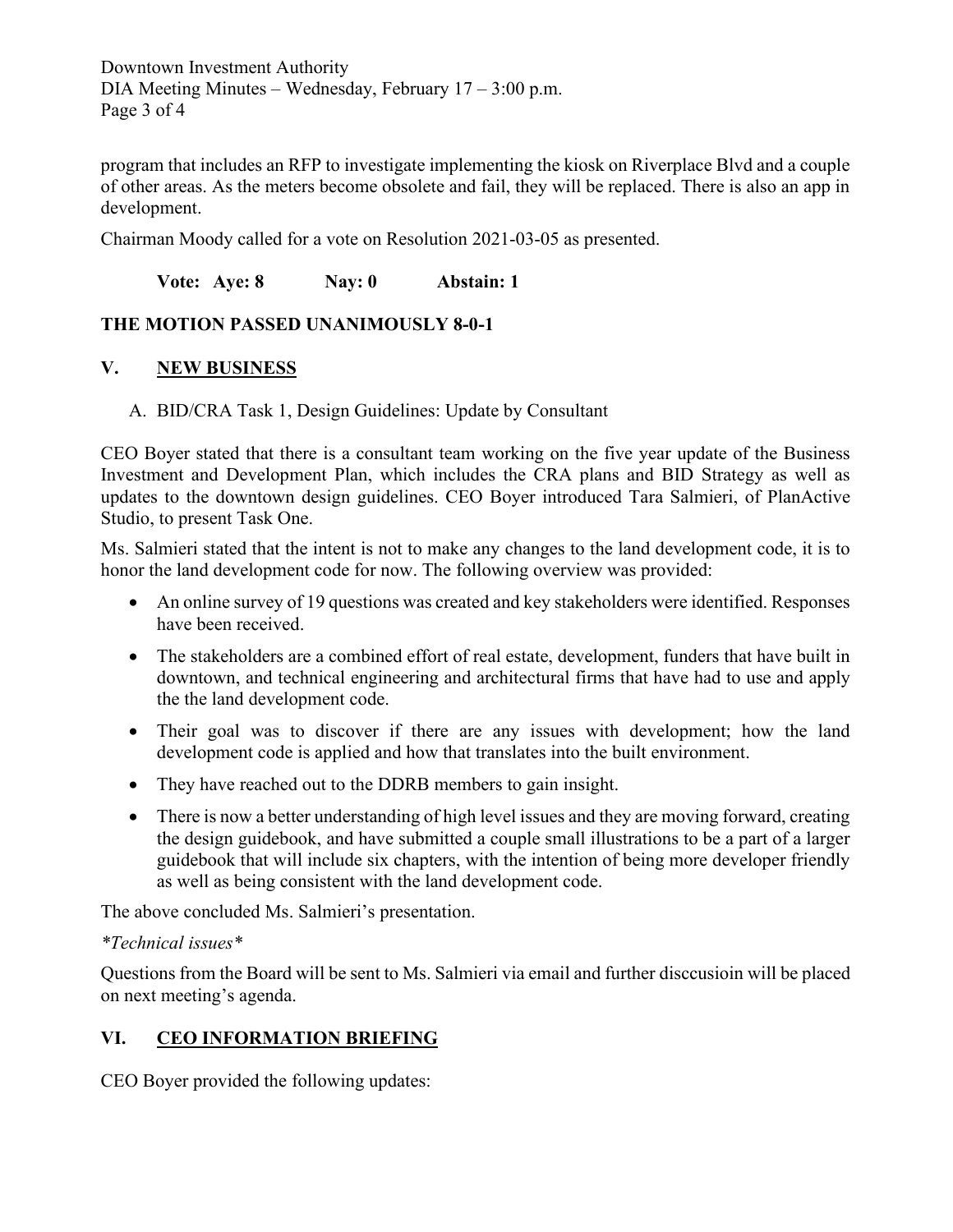Downtown Investment Authority DIA Meeting Minutes – Wednesday, February  $17 - 3:00$  p.m. Page 3 of 4

program that includes an RFP to investigate implementing the kiosk on Riverplace Blvd and a couple of other areas. As the meters become obsolete and fail, they will be replaced. There is also an app in development.

Chairman Moody called for a vote on Resolution 2021-03-05 as presented.

**Vote: Aye: 8 Nay: 0 Abstain: 1**

## **THE MOTION PASSED UNANIMOUSLY 8-0-1**

## **V. NEW BUSINESS**

A. BID/CRA Task 1, Design Guidelines: Update by Consultant

CEO Boyer stated that there is a consultant team working on the five year update of the Business Investment and Development Plan, which includes the CRA plans and BID Strategy as well as updates to the downtown design guidelines. CEO Boyer introduced Tara Salmieri, of PlanActive Studio, to present Task One.

Ms. Salmieri stated that the intent is not to make any changes to the land development code, it is to honor the land development code for now. The following overview was provided:

- An online survey of 19 questions was created and key stakeholders were identified. Responses have been received.
- The stakeholders are a combined effort of real estate, development, funders that have built in downtown, and technical engineering and architectural firms that have had to use and apply the the land development code.
- Their goal was to discover if there are any issues with development; how the land development code is applied and how that translates into the built environment.
- They have reached out to the DDRB members to gain insight.
- There is now a better understanding of high level issues and they are moving forward, creating the design guidebook, and have submitted a couple small illustrations to be a part of a larger guidebook that will include six chapters, with the intention of being more developer friendly as well as being consistent with the land development code.

The above concluded Ms. Salmieri's presentation.

#### *\*Technical issues\**

Questions from the Board will be sent to Ms. Salmieri via email and further disccusioin will be placed on next meeting's agenda.

# **VI. CEO INFORMATION BRIEFING**

CEO Boyer provided the following updates: